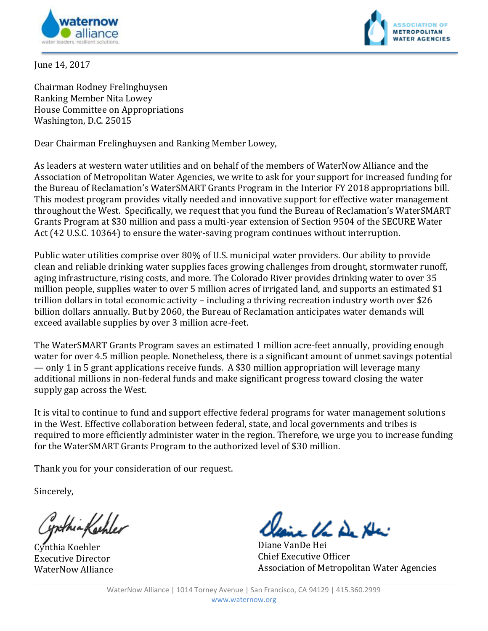



June 14, 2017

Chairman Rodney Frelinghuysen Ranking Member Nita Lowey House Committee on Appropriations Washington, D.C. 25015

Dear Chairman Frelinghuysen and Ranking Member Lowey,

As leaders at western water utilities and on behalf of the members of WaterNow Alliance and the Association of Metropolitan Water Agencies, we write to ask for your support for increased funding for the Bureau of Reclamation's WaterSMART Grants Program in the Interior FY 2018 appropriations bill. This modest program provides vitally needed and innovative support for effective water management throughout the West. Specifically, we request that you fund the Bureau of Reclamation's WaterSMART Grants Program at \$30 million and pass a multi-year extension of Section 9504 of the SECURE Water Act (42 U.S.C. 10364) to ensure the water-saving program continues without interruption.

Public water utilities comprise over 80% of U.S. municipal water providers. Our ability to provide clean and reliable drinking water supplies faces growing challenges from drought, stormwater runoff, aging infrastructure, rising costs, and more. The Colorado River provides drinking water to over 35 million people, supplies water to over 5 million acres of irrigated land, and supports an estimated \$1 trillion dollars in total economic activity – including a thriving recreation industry worth over \$26 billion dollars annually. But by 2060, the Bureau of Reclamation anticipates water demands will exceed available supplies by over 3 million acre-feet.

The WaterSMART Grants Program saves an estimated 1 million acre-feet annually, providing enough water for over 4.5 million people. Nonetheless, there is a significant amount of unmet savings potential — only 1 in 5 grant applications receive funds. A \$30 million appropriation will leverage many additional millions in non-federal funds and make significant progress toward closing the water supply gap across the West.

It is vital to continue to fund and support effective federal programs for water management solutions in the West. Effective collaboration between federal, state, and local governments and tribes is required to more efficiently administer water in the region. Therefore, we urge you to increase funding for the WaterSMART Grants Program to the authorized level of \$30 million.

Thank you for your consideration of our request.

Sincerely,

ynthia Kashler

Cynthia Koehler Executive Director WaterNow Alliance

in the De He:

Diane VanDe Hei Chief Executive Officer Association of Metropolitan Water Agencies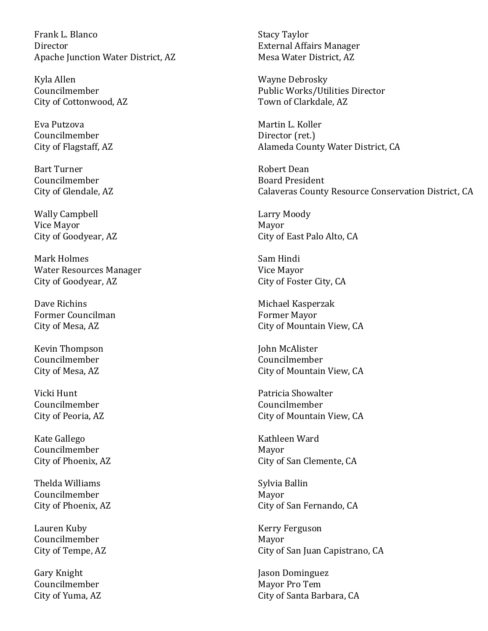Frank L. Blanco Director Apache Junction Water District, AZ

Kyla Allen Councilmember City of Cottonwood, AZ

Eva Putzova Councilmember City of Flagstaff, AZ

Bart Turner Councilmember City of Glendale, AZ

Wally Campbell Vice Mayor City of Goodyear, AZ

Mark Holmes Water Resources Manager City of Goodyear, AZ

Dave Richins Former Councilman City of Mesa, AZ

Kevin Thompson Councilmember City of Mesa, AZ

Vicki Hunt Councilmember City of Peoria, AZ

Kate Gallego Councilmember City of Phoenix, AZ

Thelda Williams Councilmember City of Phoenix, AZ

Lauren Kuby Councilmember City of Tempe, AZ

Gary Knight Councilmember City of Yuma, AZ Stacy Taylor External Affairs Manager Mesa Water District, AZ

Wayne Debrosky Public Works/Utilities Director Town of Clarkdale, AZ

Martin L. Koller Director (ret.) Alameda County Water District, CA

Robert Dean Board President Calaveras County Resource Conservation District, CA

Larry Moody Mayor City of East Palo Alto, CA

Sam Hindi Vice Mayor City of Foster City, CA

Michael Kasperzak Former Mayor City of Mountain View, CA

John McAlister Councilmember City of Mountain View, CA

Patricia Showalter Councilmember City of Mountain View, CA

Kathleen Ward Mayor City of San Clemente, CA

Sylvia Ballin Mayor City of San Fernando, CA

Kerry Ferguson Mayor City of San Juan Capistrano, CA

Jason Dominguez Mayor Pro Tem City of Santa Barbara, CA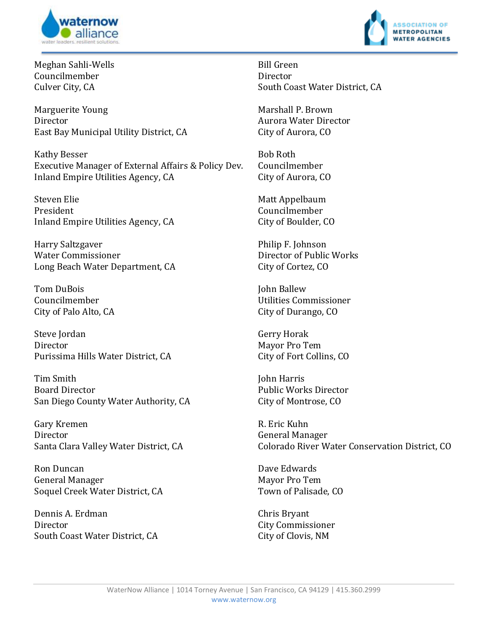



Meghan Sahli-Wells Councilmember Culver City, CA

Marguerite Young Director East Bay Municipal Utility District, CA

Kathy Besser Executive Manager of External Affairs & Policy Dev. Inland Empire Utilities Agency, CA

Steven Elie President Inland Empire Utilities Agency, CA

Harry Saltzgaver Water Commissioner Long Beach Water Department, CA

Tom DuBois Councilmember City of Palo Alto, CA

Steve Jordan Director Purissima Hills Water District, CA

Tim Smith Board Director San Diego County Water Authority, CA

Gary Kremen Director Santa Clara Valley Water District, CA

Ron Duncan General Manager Soquel Creek Water District, CA

Dennis A. Erdman Director South Coast Water District, CA Bill Green Director South Coast Water District, CA

Marshall P. Brown Aurora Water Director City of Aurora, CO

Bob Roth Councilmember City of Aurora, CO

Matt Appelbaum Councilmember City of Boulder, CO

Philip F. Johnson Director of Public Works City of Cortez, CO

John Ballew Utilities Commissioner City of Durango, CO

Gerry Horak Mayor Pro Tem City of Fort Collins, CO

John Harris Public Works Director City of Montrose, CO

R. Eric Kuhn General Manager Colorado River Water Conservation District, CO

Dave Edwards Mayor Pro Tem Town of Palisade, CO

Chris Bryant City Commissioner City of Clovis, NM